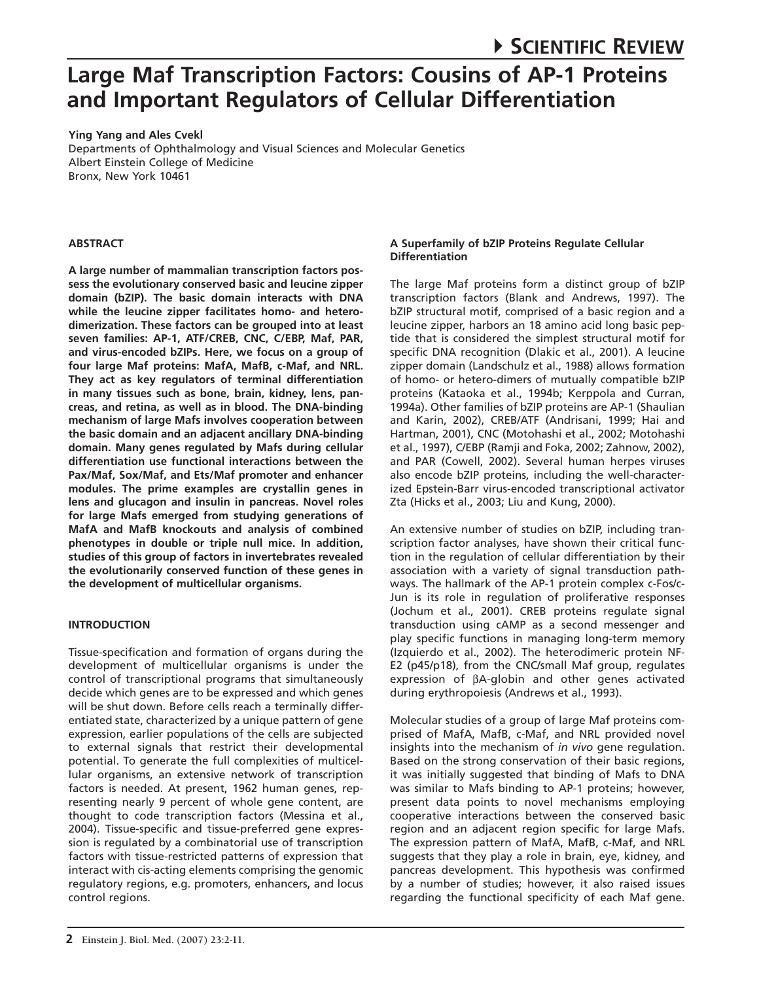**Ying Yang and Ales Cvekl**

Departments of Ophthalmology and Visual Sciences and Molecular Genetics Albert Einstein College of Medicine Bronx, New York 10461

# **ABSTRACT**

**A large number of mammalian transcription factors possess the evolutionary conserved basic and leucine zipper domain (bZIP). The basic domain interacts with DNA while the leucine zipper facilitates homo- and heterodimerization. These factors can be grouped into at least seven families: AP-1, ATF/CREB, CNC, C/EBP, Maf, PAR, and virus-encoded bZIPs. Here, we focus on a group of four large Maf proteins: MafA, MafB, c-Maf, and NRL. They act as key regulators of terminal differentiation in many tissues such as bone, brain, kidney, lens, pancreas, and retina, as well as in blood. The DNA-binding mechanism of large Mafs involves cooperation between the basic domain and an adjacent ancillary DNA-binding domain. Many genes regulated by Mafs during cellular differentiation use functional interactions between the Pax/Maf, Sox/Maf, and Ets/Maf promoter and enhancer modules. The prime examples are crystallin genes in lens and glucagon and insulin in pancreas. Novel roles for large Mafs emerged from studying generations of MafA and MafB knockouts and analysis of combined phenotypes in double or triple null mice. In addition, studies of this group of factors in invertebrates revealed the evolutionarily conserved function of these genes in the development of multicellular organisms.**

### **INTRODUCTION**

Tissue-specification and formation of organs during the development of multicellular organisms is under the control of transcriptional programs that simultaneously decide which genes are to be expressed and which genes will be shut down. Before cells reach a terminally differentiated state, characterized by a unique pattern of gene expression, earlier populations of the cells are subjected to external signals that restrict their developmental potential. To generate the full complexities of multicellular organisms, an extensive network of transcription factors is needed. At present, 1962 human genes, representing nearly 9 percent of whole gene content, are thought to code transcription factors (Messina et al., 2004). Tissue-specific and tissue-preferred gene expression is regulated by a combinatorial use of transcription factors with tissue-restricted patterns of expression that interact with cis-acting elements comprising the genomic regulatory regions, e.g. promoters, enhancers, and locus control regions.

# **A Superfamily of bZIP Proteins Regulate Cellular Differentiation**

The large Maf proteins form a distinct group of bZIP transcription factors (Blank and Andrews, 1997). The bZIP structural motif, comprised of a basic region and a leucine zipper, harbors an 18 amino acid long basic peptide that is considered the simplest structural motif for specific DNA recognition (Dlakic et al., 2001). A leucine zipper domain (Landschulz et al., 1988) allows formation of homo- or hetero-dimers of mutually compatible bZIP proteins (Kataoka et al., 1994b; Kerppola and Curran, 1994a). Other families of bZIP proteins are AP-1 (Shaulian and Karin, 2002), CREB/ATF (Andrisani, 1999; Hai and Hartman, 2001), CNC (Motohashi et al., 2002; Motohashi et al., 1997), C/EBP (Ramji and Foka, 2002; Zahnow, 2002), and PAR (Cowell, 2002). Several human herpes viruses also encode bZIP proteins, including the well-characterized Epstein-Barr virus-encoded transcriptional activator Zta (Hicks et al., 2003; Liu and Kung, 2000).

An extensive number of studies on bZIP, including transcription factor analyses, have shown their critical function in the regulation of cellular differentiation by their association with a variety of signal transduction pathways. The hallmark of the AP-1 protein complex c-Fos/c-Jun is its role in regulation of proliferative responses (Jochum et al., 2001). CREB proteins regulate signal transduction using cAMP as a second messenger and play specific functions in managing long-term memory (Izquierdo et al., 2002). The heterodimeric protein NF-E2 (p45/p18), from the CNC/small Maf group, regulates expression of βA-globin and other genes activated during erythropoiesis (Andrews et al., 1993).

Molecular studies of a group of large Maf proteins comprised of MafA, MafB, c-Maf, and NRL provided novel insights into the mechanism of *in vivo* gene regulation. Based on the strong conservation of their basic regions, it was initially suggested that binding of Mafs to DNA was similar to Mafs binding to AP-1 proteins; however, present data points to novel mechanisms employing cooperative interactions between the conserved basic region and an adjacent region specific for large Mafs. The expression pattern of MafA, MafB, c-Maf, and NRL suggests that they play a role in brain, eye, kidney, and pancreas development. This hypothesis was confirmed by a number of studies; however, it also raised issues regarding the functional specificity of each Maf gene.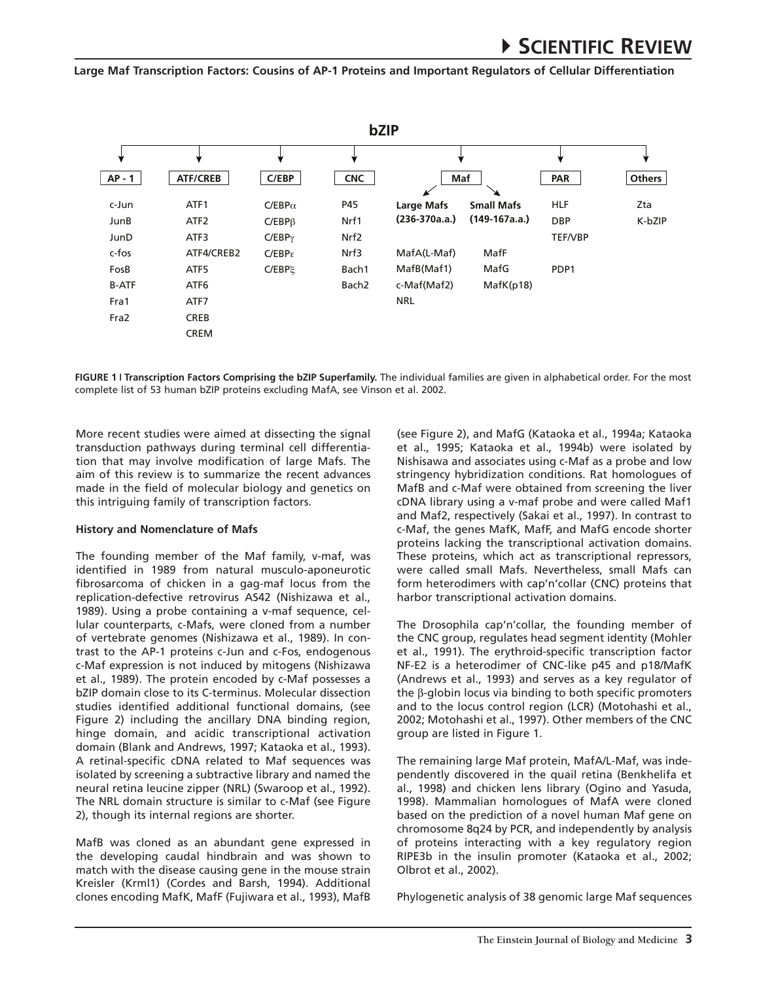

**Figure 1 i Transcription Factors Comprising the bZIP Superfamily.** The individual families are given in alphabetical order. For the most complete list of 53 human bZIP proteins excluding MafA, see Vinson et al. 2002.

More recent studies were aimed at dissecting the signal transduction pathways during terminal cell differentiation that may involve modification of large Mafs. The aim of this review is to summarize the recent advances made in the field of molecular biology and genetics on this intriguing family of transcription factors.

#### **History and Nomenclature of Mafs**

The founding member of the Maf family, v-maf, was identified in 1989 from natural musculo-aponeurotic fibrosarcoma of chicken in a gag-maf locus from the replication-defective retrovirus AS42 (Nishizawa et al., 1989). Using a probe containing a v-maf sequence, cellular counterparts, c-Mafs, were cloned from a number of vertebrate genomes (Nishizawa et al., 1989). In contrast to the AP-1 proteins c-Jun and c-Fos, endogenous c-Maf expression is not induced by mitogens (Nishizawa et al., 1989). The protein encoded by c-Maf possesses a bZIP domain close to its C-terminus. Molecular dissection studies identified additional functional domains, (see Figure 2) including the ancillary DNA binding region, hinge domain, and acidic transcriptional activation domain (Blank and Andrews, 1997; Kataoka et al., 1993). A retinal-specific cDNA related to Maf sequences was isolated by screening a subtractive library and named the neural retina leucine zipper (NRL) (Swaroop et al., 1992). The NRL domain structure is similar to c-Maf (see Figure 2), though its internal regions are shorter.

MafB was cloned as an abundant gene expressed in the developing caudal hindbrain and was shown to match with the disease causing gene in the mouse strain Kreisler (Krml1) (Cordes and Barsh, 1994). Additional clones encoding MafK, MafF (Fujiwara et al., 1993), MafB (see Figure 2), and MafG (Kataoka et al., 1994a; Kataoka et al., 1995; Kataoka et al., 1994b) were isolated by Nishisawa and associates using c-Maf as a probe and low stringency hybridization conditions. Rat homologues of MafB and c-Maf were obtained from screening the liver cDNA library using a v-maf probe and were called Maf1 and Maf2, respectively (Sakai et al., 1997). In contrast to c-Maf, the genes MafK, MafF, and MafG encode shorter proteins lacking the transcriptional activation domains. These proteins, which act as transcriptional repressors, were called small Mafs. Nevertheless, small Mafs can form heterodimers with cap'n'collar (CNC) proteins that harbor transcriptional activation domains.

The Drosophila cap'n'collar, the founding member of the CNC group, regulates head segment identity (Mohler et al., 1991). The erythroid-specific transcription factor NF-E2 is a heterodimer of CNC-like p45 and p18/MafK (Andrews et al., 1993) and serves as a key regulator of the β-globin locus via binding to both specific promoters and to the locus control region (LCR) (Motohashi et al., 2002; Motohashi et al., 1997). Other members of the CNC group are listed in Figure 1.

The remaining large Maf protein, MafA/L-Maf, was independently discovered in the quail retina (Benkhelifa et al., 1998) and chicken lens library (Ogino and Yasuda, 1998). Mammalian homologues of MafA were cloned based on the prediction of a novel human Maf gene on chromosome 8q24 by PCR, and independently by analysis of proteins interacting with a key regulatory region RIPE3b in the insulin promoter (Kataoka et al., 2002; Olbrot et al., 2002).

Phylogenetic analysis of 38 genomic large Maf sequences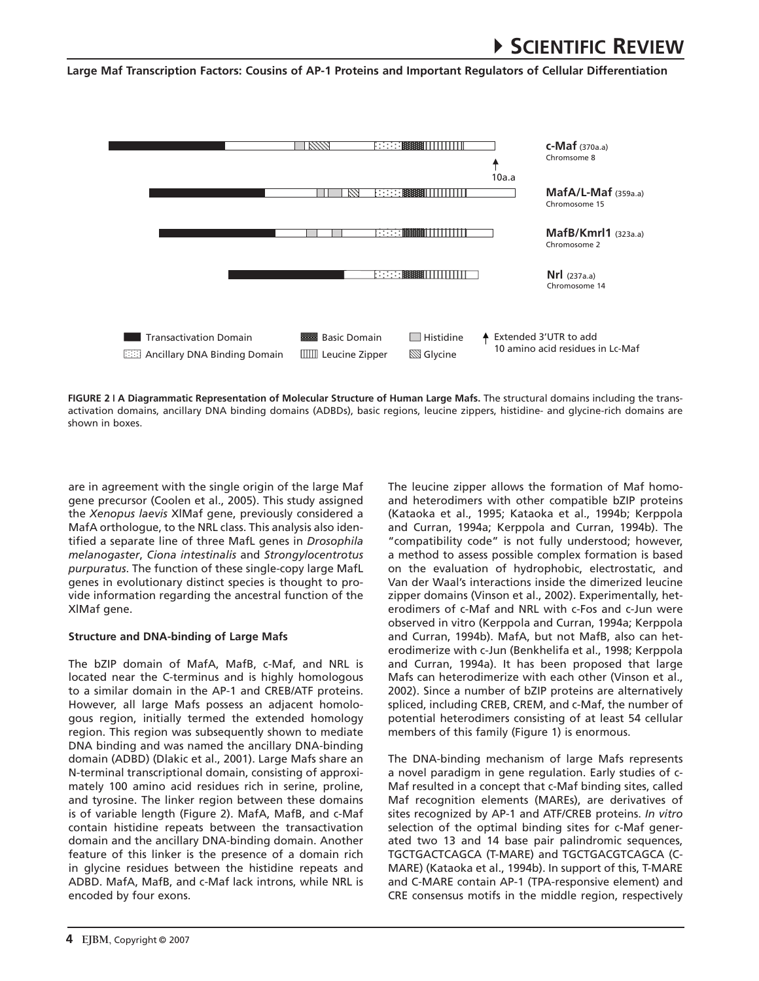# 4**Scientific Review**

**Large Maf Transcription Factors: Cousins of AP-1 Proteins and Important Regulators of Cellular Differentiation**



**Figure 2 i A Diagrammatic Representation of Molecular Structure of Human Large Mafs.** The structural domains including the transactivation domains, ancillary DNA binding domains (ADBDs), basic regions, leucine zippers, histidine- and glycine-rich domains are shown in boxes.

are in agreement with the single origin of the large Maf gene precursor (Coolen et al., 2005). This study assigned the *Xenopus laevis* XlMaf gene, previously considered a MafA orthologue, to the NRL class. This analysis also identified a separate line of three MafL genes in *Drosophila melanogaster*, *Ciona intestinalis* and *Strongylocentrotus purpuratus*. The function of these single-copy large MafL genes in evolutionary distinct species is thought to provide information regarding the ancestral function of the XlMaf gene.

### **Structure and DNA-binding of Large Mafs**

The bZIP domain of MafA, MafB, c-Maf, and NRL is located near the C-terminus and is highly homologous to a similar domain in the AP-1 and CREB/ATF proteins. However, all large Mafs possess an adjacent homologous region, initially termed the extended homology region. This region was subsequently shown to mediate DNA binding and was named the ancillary DNA-binding domain (ADBD) (Dlakic et al., 2001). Large Mafs share an N-terminal transcriptional domain, consisting of approximately 100 amino acid residues rich in serine, proline, and tyrosine. The linker region between these domains is of variable length (Figure 2). MafA, MafB, and c-Maf contain histidine repeats between the transactivation domain and the ancillary DNA-binding domain. Another feature of this linker is the presence of a domain rich in glycine residues between the histidine repeats and ADBD. MafA, MafB, and c-Maf lack introns, while NRL is encoded by four exons.

The leucine zipper allows the formation of Maf homoand heterodimers with other compatible bZIP proteins (Kataoka et al., 1995; Kataoka et al., 1994b; Kerppola and Curran, 1994a; Kerppola and Curran, 1994b). The "compatibility code" is not fully understood; however, a method to assess possible complex formation is based on the evaluation of hydrophobic, electrostatic, and Van der Waal's interactions inside the dimerized leucine zipper domains (Vinson et al., 2002). Experimentally, heterodimers of c-Maf and NRL with c-Fos and c-Jun were observed in vitro (Kerppola and Curran, 1994a; Kerppola and Curran, 1994b). MafA, but not MafB, also can heterodimerize with c-Jun (Benkhelifa et al., 1998; Kerppola and Curran, 1994a). It has been proposed that large Mafs can heterodimerize with each other (Vinson et al., 2002). Since a number of bZIP proteins are alternatively spliced, including CREB, CREM, and c-Maf, the number of potential heterodimers consisting of at least 54 cellular members of this family (Figure 1) is enormous.

The DNA-binding mechanism of large Mafs represents a novel paradigm in gene regulation. Early studies of c-Maf resulted in a concept that c-Maf binding sites, called Maf recognition elements (MAREs), are derivatives of sites recognized by AP-1 and ATF/CREB proteins. *In vitro* selection of the optimal binding sites for c-Maf generated two 13 and 14 base pair palindromic sequences, TGCTGACTCAGCA (T-MARE) and TGCTGACGTCAGCA (C-MARE) (Kataoka et al., 1994b). In support of this, T-MARE and C-MARE contain AP-1 (TPA-responsive element) and CRE consensus motifs in the middle region, respectively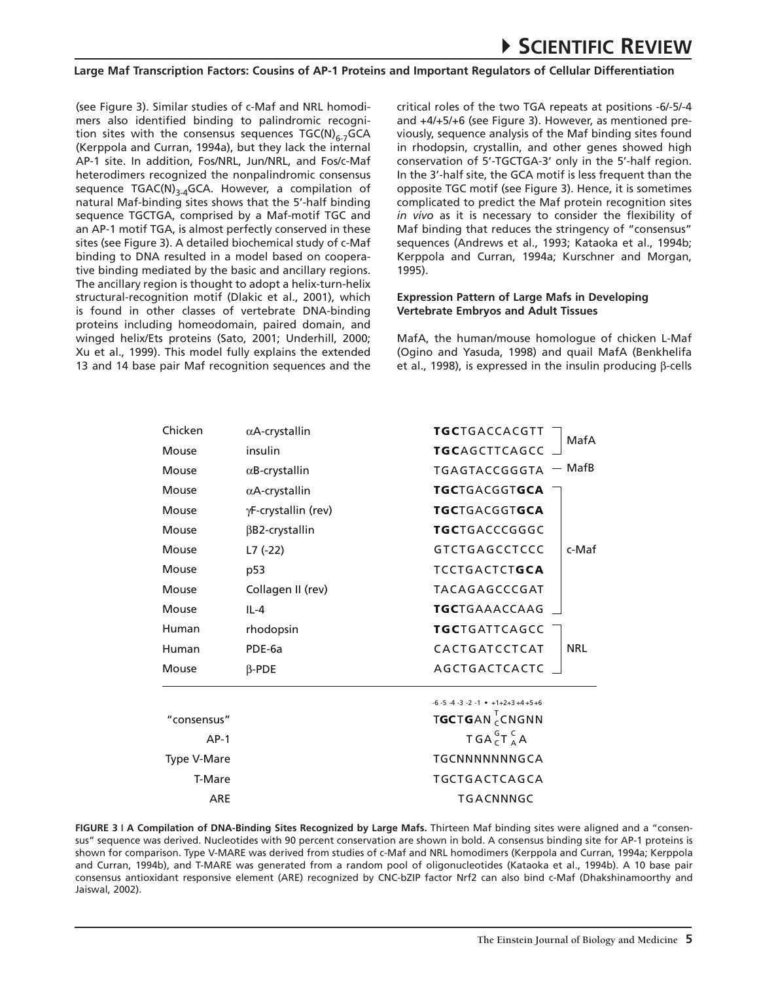(see Figure 3). Similar studies of c-Maf and NRL homodimers also identified binding to palindromic recognition sites with the consensus sequences  $TGC(N)_{6-7}GCA$ (Kerppola and Curran, 1994a), but they lack the internal AP-1 site. In addition, Fos/NRL, Jun/NRL, and Fos/c-Maf heterodimers recognized the nonpalindromic consensus sequence  $TGAC(N)_{3,4}GCA$ . However, a compilation of natural Maf-binding sites shows that the 5'-half binding sequence TGCTGA, comprised by a Maf-motif TGC and an AP-1 motif TGA, is almost perfectly conserved in these sites (see Figure 3). A detailed biochemical study of c-Maf binding to DNA resulted in a model based on cooperative binding mediated by the basic and ancillary regions. The ancillary region is thought to adopt a helix-turn-helix structural-recognition motif (Dlakic et al., 2001), which is found in other classes of vertebrate DNA-binding proteins including homeodomain, paired domain, and winged helix/Ets proteins (Sato, 2001; Underhill, 2000; Xu et al., 1999). This model fully explains the extended 13 and 14 base pair Maf recognition sequences and the critical roles of the two TGA repeats at positions -6/-5/-4 and +4/+5/+6 (see Figure 3). However, as mentioned previously, sequence analysis of the Maf binding sites found in rhodopsin, crystallin, and other genes showed high conservation of 5'-TGCTGA-3' only in the 5'-half region. In the 3'-half site, the GCA motif is less frequent than the opposite TGC motif (see Figure 3). Hence, it is sometimes complicated to predict the Maf protein recognition sites *in vivo* as it is necessary to consider the flexibility of Maf binding that reduces the stringency of "consensus" sequences (Andrews et al., 1993; Kataoka et al., 1994b; Kerppola and Curran, 1994a; Kurschner and Morgan, 1995).

#### **Expression Pattern of Large Mafs in Developing Vertebrate Embryos and Adult Tissues**

MafA, the human/mouse homologue of chicken L-Maf (Ogino and Yasuda, 1998) and quail MafA (Benkhelifa et al., 1998), is expressed in the insulin producing β-cells

| Chicken     | $\alpha$ A-crystallin | <b>TGC</b> TGACCACGTT<br>MafA                       |
|-------------|-----------------------|-----------------------------------------------------|
| Mouse       | insulin               | <b>TGCAGCTTCAGCC</b>                                |
| Mouse       | $\alpha$ B-crystallin | – MafB<br>TGAGTACCGGGTA                             |
| Mouse       | $\alpha$ A-crystallin | <b>TGC</b> TGACGGTGCA                               |
| Mouse       | γF-crystallin (rev)   | <b>TGC</b> TGACGGTGCA                               |
| Mouse       | $\beta$ B2-crystallin | <b>TGC</b> TGACCCGGGC                               |
| Mouse       | L7 (-22)              | <b>GTCTGAGCCTCCC</b><br>c-Maf                       |
| Mouse       | p53                   | <b>TCCTGACTCTGCA</b>                                |
| Mouse       | Collagen II (rev)     | TACAGAGCCCGAT                                       |
| Mouse       | $II - 4$              | <b>TGC</b> TGAAACCAAG                               |
| Human       | rhodopsin             | <b>TGC</b> TGATTCAGCC                               |
| Human       | PDE-6a                | <b>NRL</b><br>CACTGATCCTCAT                         |
| Mouse       | $\beta$ -PDE          | AGCTGACTCACTC                                       |
|             |                       | $-6 - 5 - 4 - 3 - 2 - 1$ • $+1 + 2 + 3 + 4 + 5 + 6$ |
| "consensus" |                       | TGCTGAN CONGNN                                      |
| $AP-1$      |                       | TGAGA                                               |
| Type V-Mare |                       | TGCNNNNNNNGCA                                       |
| T-Mare      |                       | TGCTGACTCAGCA                                       |
| ARE         |                       | TGACNNNGC                                           |

**Figure 3 i A Compilation of DNA-Binding Sites Recognized by Large Mafs.** Thirteen Maf binding sites were aligned and a "consensus" sequence was derived. Nucleotides with 90 percent conservation are shown in bold. A consensus binding site for AP-1 proteins is shown for comparison. Type V-MARE was derived from studies of c-Maf and NRL homodimers (Kerppola and Curran, 1994a; Kerppola and Curran, 1994b), and T-MARE was generated from a random pool of oligonucleotides (Kataoka et al., 1994b). A 10 base pair consensus antioxidant responsive element (ARE) recognized by CNC-bZIP factor Nrf2 can also bind c-Maf (Dhakshinamoorthy and Jaiswal, 2002).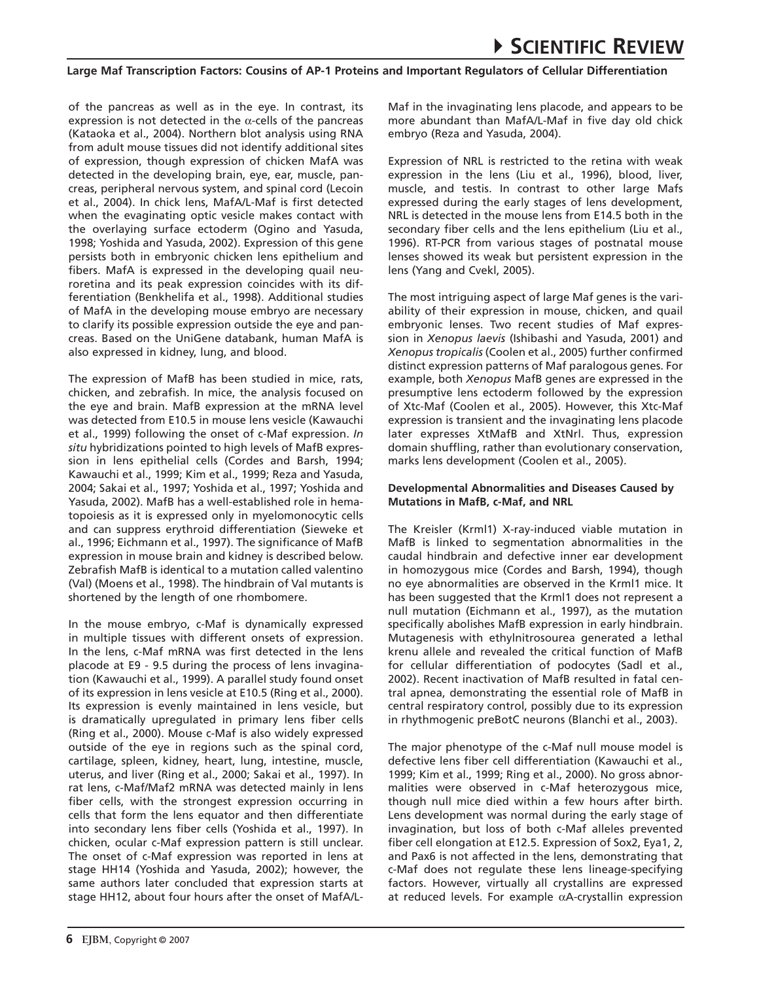of the pancreas as well as in the eye. In contrast, its expression is not detected in the  $\alpha$ -cells of the pancreas (Kataoka et al., 2004). Northern blot analysis using RNA from adult mouse tissues did not identify additional sites of expression, though expression of chicken MafA was detected in the developing brain, eye, ear, muscle, pancreas, peripheral nervous system, and spinal cord (Lecoin et al., 2004). In chick lens, MafA/L-Maf is first detected when the evaginating optic vesicle makes contact with the overlaying surface ectoderm (Ogino and Yasuda, 1998; Yoshida and Yasuda, 2002). Expression of this gene persists both in embryonic chicken lens epithelium and fibers. MafA is expressed in the developing quail neuroretina and its peak expression coincides with its differentiation (Benkhelifa et al., 1998). Additional studies of MafA in the developing mouse embryo are necessary to clarify its possible expression outside the eye and pancreas. Based on the UniGene databank, human MafA is also expressed in kidney, lung, and blood.

The expression of MafB has been studied in mice, rats, chicken, and zebrafish. In mice, the analysis focused on the eye and brain. MafB expression at the mRNA level was detected from E10.5 in mouse lens vesicle (Kawauchi et al., 1999) following the onset of c-Maf expression. *In situ* hybridizations pointed to high levels of MafB expression in lens epithelial cells (Cordes and Barsh, 1994; Kawauchi et al., 1999; Kim et al., 1999; Reza and Yasuda, 2004; Sakai et al., 1997; Yoshida et al., 1997; Yoshida and Yasuda, 2002). MafB has a well-established role in hematopoiesis as it is expressed only in myelomonocytic cells and can suppress erythroid differentiation (Sieweke et al., 1996; Eichmann et al., 1997). The significance of MafB expression in mouse brain and kidney is described below. Zebrafish MafB is identical to a mutation called valentino (Val) (Moens et al., 1998). The hindbrain of Val mutants is shortened by the length of one rhombomere.

In the mouse embryo, c-Maf is dynamically expressed in multiple tissues with different onsets of expression. In the lens, c-Maf mRNA was first detected in the lens placode at E9 - 9.5 during the process of lens invagination (Kawauchi et al., 1999). A parallel study found onset of its expression in lens vesicle at E10.5 (Ring et al., 2000). Its expression is evenly maintained in lens vesicle, but is dramatically upregulated in primary lens fiber cells (Ring et al., 2000). Mouse c-Maf is also widely expressed outside of the eye in regions such as the spinal cord, cartilage, spleen, kidney, heart, lung, intestine, muscle, uterus, and liver (Ring et al., 2000; Sakai et al., 1997). In rat lens, c-Maf/Maf2 mRNA was detected mainly in lens fiber cells, with the strongest expression occurring in cells that form the lens equator and then differentiate into secondary lens fiber cells (Yoshida et al., 1997). In chicken, ocular c-Maf expression pattern is still unclear. The onset of c-Maf expression was reported in lens at stage HH14 (Yoshida and Yasuda, 2002); however, the same authors later concluded that expression starts at stage HH12, about four hours after the onset of MafA/L- Maf in the invaginating lens placode, and appears to be more abundant than MafA/L-Maf in five day old chick embryo (Reza and Yasuda, 2004).

Expression of NRL is restricted to the retina with weak expression in the lens (Liu et al., 1996), blood, liver, muscle, and testis. In contrast to other large Mafs expressed during the early stages of lens development, NRL is detected in the mouse lens from E14.5 both in the secondary fiber cells and the lens epithelium (Liu et al., 1996). RT-PCR from various stages of postnatal mouse lenses showed its weak but persistent expression in the lens (Yang and Cvekl, 2005).

The most intriguing aspect of large Maf genes is the variability of their expression in mouse, chicken, and quail embryonic lenses. Two recent studies of Maf expression in *Xenopus laevis* (Ishibashi and Yasuda, 2001) and *Xenopus tropicalis* (Coolen et al., 2005) further confirmed distinct expression patterns of Maf paralogous genes. For example, both *Xenopus* MafB genes are expressed in the presumptive lens ectoderm followed by the expression of Xtc-Maf (Coolen et al., 2005). However, this Xtc-Maf expression is transient and the invaginating lens placode later expresses XtMafB and XtNrl. Thus, expression domain shuffling, rather than evolutionary conservation, marks lens development (Coolen et al., 2005).

#### **Developmental Abnormalities and Diseases Caused by Mutations in MafB, c-Maf, and NRL**

The Kreisler (Krml1) X-ray-induced viable mutation in MafB is linked to segmentation abnormalities in the caudal hindbrain and defective inner ear development in homozygous mice (Cordes and Barsh, 1994), though no eye abnormalities are observed in the Krml1 mice. It has been suggested that the Krml1 does not represent a null mutation (Eichmann et al., 1997), as the mutation specifically abolishes MafB expression in early hindbrain. Mutagenesis with ethylnitrosourea generated a lethal krenu allele and revealed the critical function of MafB for cellular differentiation of podocytes (Sadl et al., 2002). Recent inactivation of MafB resulted in fatal central apnea, demonstrating the essential role of MafB in central respiratory control, possibly due to its expression in rhythmogenic preBotC neurons (Blanchi et al., 2003).

The major phenotype of the c-Maf null mouse model is defective lens fiber cell differentiation (Kawauchi et al., 1999; Kim et al., 1999; Ring et al., 2000). No gross abnormalities were observed in c-Maf heterozygous mice, though null mice died within a few hours after birth. Lens development was normal during the early stage of invagination, but loss of both c-Maf alleles prevented fiber cell elongation at E12.5. Expression of Sox2, Eya1, 2, and Pax6 is not affected in the lens, demonstrating that c-Maf does not regulate these lens lineage-specifying factors. However, virtually all crystallins are expressed at reduced levels. For example αA-crystallin expression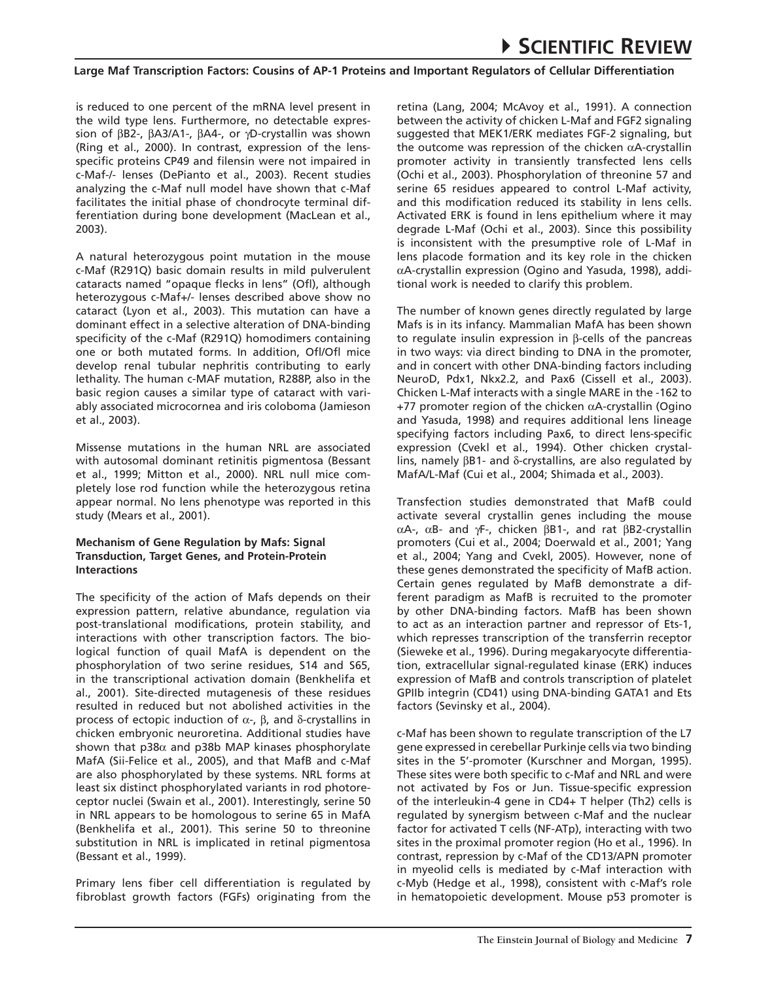is reduced to one percent of the mRNA level present in the wild type lens. Furthermore, no detectable expression of βB2-, βA3/A1-, βA4-, or γD-crystallin was shown (Ring et al., 2000). In contrast, expression of the lensspecific proteins CP49 and filensin were not impaired in c-Maf-/- lenses (DePianto et al., 2003). Recent studies analyzing the c-Maf null model have shown that c-Maf facilitates the initial phase of chondrocyte terminal differentiation during bone development (MacLean et al., 2003).

A natural heterozygous point mutation in the mouse c-Maf (R291Q) basic domain results in mild pulverulent cataracts named "opaque flecks in lens" (Ofl), although heterozygous c-Maf+/- lenses described above show no cataract (Lyon et al., 2003). This mutation can have a dominant effect in a selective alteration of DNA-binding specificity of the c-Maf (R291Q) homodimers containing one or both mutated forms. In addition, Ofl/Ofl mice develop renal tubular nephritis contributing to early lethality. The human c-MAF mutation, R288P, also in the basic region causes a similar type of cataract with variably associated microcornea and iris coloboma (Jamieson et al., 2003).

Missense mutations in the human NRL are associated with autosomal dominant retinitis pigmentosa (Bessant et al., 1999; Mitton et al., 2000). NRL null mice completely lose rod function while the heterozygous retina appear normal. No lens phenotype was reported in this study (Mears et al., 2001).

## **Mechanism of Gene Regulation by Mafs: Signal Transduction, Target Genes, and Protein-Protein Interactions**

The specificity of the action of Mafs depends on their expression pattern, relative abundance, regulation via post-translational modifications, protein stability, and interactions with other transcription factors. The biological function of quail MafA is dependent on the phosphorylation of two serine residues, S14 and S65, in the transcriptional activation domain (Benkhelifa et al., 2001). Site-directed mutagenesis of these residues resulted in reduced but not abolished activities in the process of ectopic induction of  $\alpha$ -,  $\beta$ , and δ-crystallins in chicken embryonic neuroretina. Additional studies have shown that  $p38\alpha$  and  $p38b$  MAP kinases phosphorylate MafA (Sii-Felice et al., 2005), and that MafB and c-Maf are also phosphorylated by these systems. NRL forms at least six distinct phosphorylated variants in rod photoreceptor nuclei (Swain et al., 2001). Interestingly, serine 50 in NRL appears to be homologous to serine 65 in MafA (Benkhelifa et al., 2001). This serine 50 to threonine substitution in NRL is implicated in retinal pigmentosa (Bessant et al., 1999).

Primary lens fiber cell differentiation is regulated by fibroblast growth factors (FGFs) originating from the retina (Lang, 2004; McAvoy et al., 1991). A connection between the activity of chicken L-Maf and FGF2 signaling suggested that MEK1/ERK mediates FGF-2 signaling, but the outcome was repression of the chicken αA-crystallin promoter activity in transiently transfected lens cells (Ochi et al., 2003). Phosphorylation of threonine 57 and serine 65 residues appeared to control L-Maf activity, and this modification reduced its stability in lens cells. Activated ERK is found in lens epithelium where it may degrade L-Maf (Ochi et al., 2003). Since this possibility is inconsistent with the presumptive role of L-Maf in lens placode formation and its key role in the chicken αA-crystallin expression (Ogino and Yasuda, 1998), additional work is needed to clarify this problem.

The number of known genes directly regulated by large Mafs is in its infancy. Mammalian MafA has been shown to regulate insulin expression in β-cells of the pancreas in two ways: via direct binding to DNA in the promoter, and in concert with other DNA-binding factors including NeuroD, Pdx1, Nkx2.2, and Pax6 (Cissell et al., 2003). Chicken L-Maf interacts with a single MARE in the -162 to  $+77$  promoter region of the chicken  $\alpha$ A-crystallin (Ogino and Yasuda, 1998) and requires additional lens lineage specifying factors including Pax6, to direct lens-specific expression (Cvekl et al., 1994). Other chicken crystallins, namely βB1- and δ-crystallins, are also regulated by MafA/L-Maf (Cui et al., 2004; Shimada et al., 2003).

Transfection studies demonstrated that MafB could activate several crystallin genes including the mouse αA-, αB- and γF-, chicken βB1-, and rat βB2-crystallin promoters (Cui et al., 2004; Doerwald et al., 2001; Yang et al., 2004; Yang and Cvekl, 2005). However, none of these genes demonstrated the specificity of MafB action. Certain genes regulated by MafB demonstrate a different paradigm as MafB is recruited to the promoter by other DNA-binding factors. MafB has been shown to act as an interaction partner and repressor of Ets-1, which represses transcription of the transferrin receptor (Sieweke et al., 1996). During megakaryocyte differentiation, extracellular signal-regulated kinase (ERK) induces expression of MafB and controls transcription of platelet GPIIb integrin (CD41) using DNA-binding GATA1 and Ets factors (Sevinsky et al., 2004).

c-Maf has been shown to regulate transcription of the L7 gene expressed in cerebellar Purkinje cells via two binding sites in the 5'-promoter (Kurschner and Morgan, 1995). These sites were both specific to c-Maf and NRL and were not activated by Fos or Jun. Tissue-specific expression of the interleukin-4 gene in CD4+ T helper (Th2) cells is regulated by synergism between c-Maf and the nuclear factor for activated T cells (NF-ATp), interacting with two sites in the proximal promoter region (Ho et al., 1996). In contrast, repression by c-Maf of the CD13/APN promoter in myeolid cells is mediated by c-Maf interaction with c-Myb (Hedge et al., 1998), consistent with c-Maf's role in hematopoietic development. Mouse p53 promoter is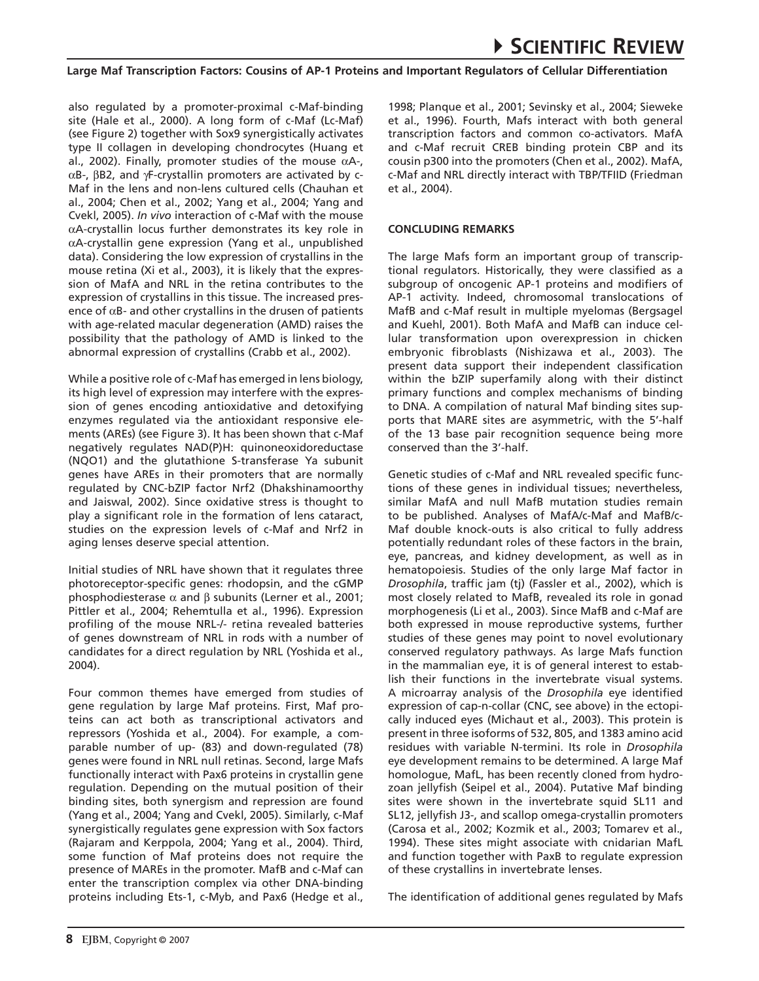also regulated by a promoter-proximal c-Maf-binding site (Hale et al., 2000). A long form of c-Maf (Lc-Maf) (see Figure 2) together with Sox9 synergistically activates type II collagen in developing chondrocytes (Huang et al., 2002). Finally, promoter studies of the mouse  $α$ A-, αB-, βB2, and γF-crystallin promoters are activated by c-Maf in the lens and non-lens cultured cells (Chauhan et al., 2004; Chen et al., 2002; Yang et al., 2004; Yang and Cvekl, 2005). *In vivo* interaction of c-Maf with the mouse αA-crystallin locus further demonstrates its key role in αA-crystallin gene expression (Yang et al., unpublished data). Considering the low expression of crystallins in the mouse retina (Xi et al., 2003), it is likely that the expression of MafA and NRL in the retina contributes to the expression of crystallins in this tissue. The increased presence of  $\alpha$ B- and other crystallins in the drusen of patients with age-related macular degeneration (AMD) raises the possibility that the pathology of AMD is linked to the abnormal expression of crystallins (Crabb et al., 2002).

While a positive role of c-Maf has emerged in lens biology, its high level of expression may interfere with the expression of genes encoding antioxidative and detoxifying enzymes regulated via the antioxidant responsive elements (AREs) (see Figure 3). It has been shown that c-Maf negatively regulates NAD(P)H: quinoneoxidoreductase (NQO1) and the glutathione S-transferase Ya subunit genes have AREs in their promoters that are normally regulated by CNC-bZIP factor Nrf2 (Dhakshinamoorthy and Jaiswal, 2002). Since oxidative stress is thought to play a significant role in the formation of lens cataract, studies on the expression levels of c-Maf and Nrf2 in aging lenses deserve special attention.

Initial studies of NRL have shown that it regulates three photoreceptor-specific genes: rhodopsin, and the cGMP phosphodiesterase  $\alpha$  and  $\beta$  subunits (Lerner et al., 2001; Pittler et al., 2004; Rehemtulla et al., 1996). Expression profiling of the mouse NRL-/- retina revealed batteries of genes downstream of NRL in rods with a number of candidates for a direct regulation by NRL (Yoshida et al., 2004).

Four common themes have emerged from studies of gene regulation by large Maf proteins. First, Maf proteins can act both as transcriptional activators and repressors (Yoshida et al., 2004). For example, a comparable number of up- (83) and down-regulated (78) genes were found in NRL null retinas. Second, large Mafs functionally interact with Pax6 proteins in crystallin gene regulation. Depending on the mutual position of their binding sites, both synergism and repression are found (Yang et al., 2004; Yang and Cvekl, 2005). Similarly, c-Maf synergistically regulates gene expression with Sox factors (Rajaram and Kerppola, 2004; Yang et al., 2004). Third, some function of Maf proteins does not require the presence of MAREs in the promoter. MafB and c-Maf can enter the transcription complex via other DNA-binding proteins including Ets-1, c-Myb, and Pax6 (Hedge et al.,

1998; Planque et al., 2001; Sevinsky et al., 2004; Sieweke et al., 1996). Fourth, Mafs interact with both general transcription factors and common co-activators. MafA and c-Maf recruit CREB binding protein CBP and its cousin p300 into the promoters (Chen et al., 2002). MafA, c-Maf and NRL directly interact with TBP/TFIID (Friedman et al., 2004).

## **Concluding Remarks**

The large Mafs form an important group of transcriptional regulators. Historically, they were classified as a subgroup of oncogenic AP-1 proteins and modifiers of AP-1 activity. Indeed, chromosomal translocations of MafB and c-Maf result in multiple myelomas (Bergsagel and Kuehl, 2001). Both MafA and MafB can induce cellular transformation upon overexpression in chicken embryonic fibroblasts (Nishizawa et al., 2003). The present data support their independent classification within the bZIP superfamily along with their distinct primary functions and complex mechanisms of binding to DNA. A compilation of natural Maf binding sites supports that MARE sites are asymmetric, with the 5'-half of the 13 base pair recognition sequence being more conserved than the 3'-half.

Genetic studies of c-Maf and NRL revealed specific functions of these genes in individual tissues; nevertheless, similar MafA and null MafB mutation studies remain to be published. Analyses of MafA/c-Maf and MafB/c-Maf double knock-outs is also critical to fully address potentially redundant roles of these factors in the brain, eye, pancreas, and kidney development, as well as in hematopoiesis. Studies of the only large Maf factor in *Drosophila*, traffic jam (tj) (Fassler et al., 2002), which is most closely related to MafB, revealed its role in gonad morphogenesis (Li et al., 2003). Since MafB and c-Maf are both expressed in mouse reproductive systems, further studies of these genes may point to novel evolutionary conserved regulatory pathways. As large Mafs function in the mammalian eye, it is of general interest to establish their functions in the invertebrate visual systems. A microarray analysis of the *Drosophila* eye identified expression of cap-n-collar (CNC, see above) in the ectopically induced eyes (Michaut et al., 2003). This protein is present in three isoforms of 532, 805, and 1383 amino acid residues with variable N-termini. Its role in *Drosophila*  eye development remains to be determined. A large Maf homologue, MafL, has been recently cloned from hydrozoan jellyfish (Seipel et al., 2004). Putative Maf binding sites were shown in the invertebrate squid SL11 and SL12, jellyfish J3-, and scallop omega-crystallin promoters (Carosa et al., 2002; Kozmik et al., 2003; Tomarev et al., 1994). These sites might associate with cnidarian MafL and function together with PaxB to regulate expression of these crystallins in invertebrate lenses.

The identification of additional genes regulated by Mafs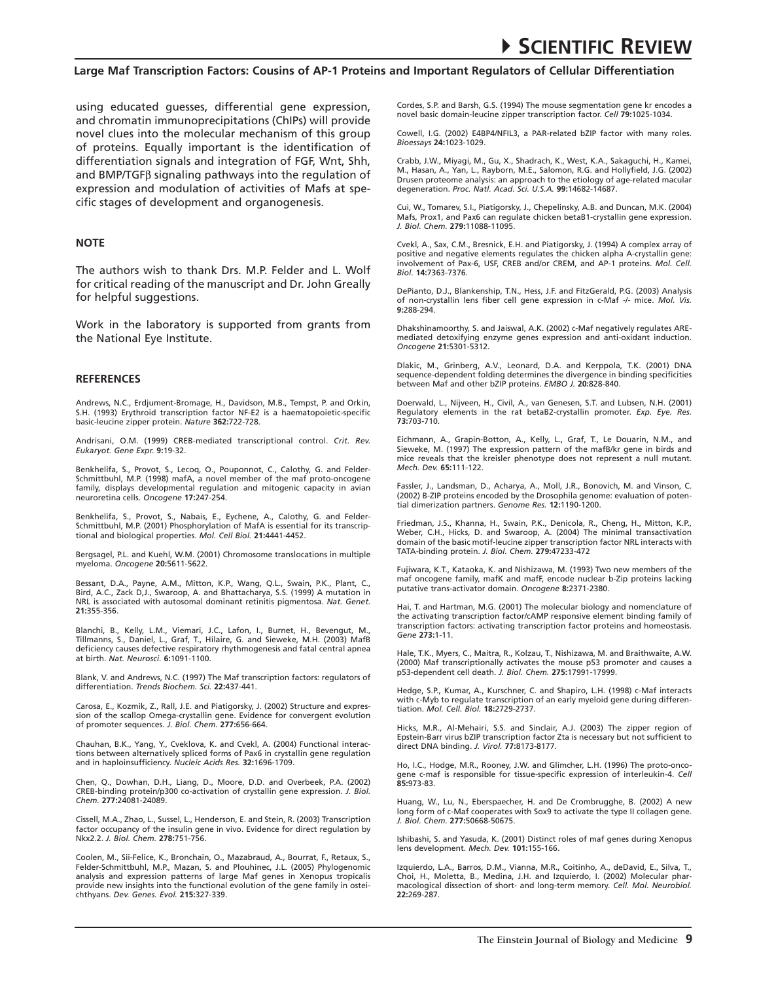using educated guesses, differential gene expression, and chromatin immunoprecipitations (ChIPs) will provide novel clues into the molecular mechanism of this group of proteins. Equally important is the identification of differentiation signals and integration of FGF, Wnt, Shh, and BMP/TGFβ signaling pathways into the regulation of expression and modulation of activities of Mafs at specific stages of development and organogenesis.

#### **Note**

The authors wish to thank Drs. M.P. Felder and L. Wolf for critical reading of the manuscript and Dr. John Greally for helpful suggestions.

Work in the laboratory is supported from grants from the National Eye Institute.

#### **REFERENCES**

Andrews, N.C., Erdjument-Bromage, H., Davidson, M.B., Tempst, P. and Orkin, S.H. (1993) Erythroid transcription factor NF-E2 is a haematopoietic-specific basic-leucine zipper protein. *Nature* **362:**722-728.

Andrisani, O.M. (1999) CREB-mediated transcriptional control. *Crit. Rev. Eukaryot. Gene Expr.* **9:**19-32.

Benkhelifa, S., Provot, S., Lecoq, O., Pouponnot, C., Calothy, G. and Felder-Schmittbuhl, M.P. (1998) mafA, a novel member of the maf proto-oncogene family, displays developmental regulation and mitogenic capacity in avian neuroretina cells. *Oncogene* **17:**247-254.

Benkhelifa, S., Provot, S., Nabais, E., Eychene, A., Calothy, G. and Felder-Schmittbuhl, M.P. (2001) Phosphorylation of MafA is essential for its transcriptional and biological properties. *Mol. Cell Biol.* **21:**4441-4452.

Bergsagel, P.L. and Kuehl, W.M. (2001) Chromosome translocations in multiple myeloma. *Oncogene* **20:**5611-5622.

Bessant, D.A., Payne, A.M., Mitton, K.P., Wang, Q.L., Swain, P.K., Plant, C., Bird, A.C., Zack D,J., Swaroop, A. and Bhattacharya, S.S. (1999) A mutation in NRL is associated with autosomal dominant retinitis pigmentosa. *Nat. Genet.*  **21:**355-356.

Blanchi, B., Kelly, L.M., Viemari, J.C., Lafon, I., Burnet, H., Bevengut, M., Tillmanns, S., Daniel, L., Graf, T., Hilaire, G. and Sieweke, M.H. (2003) MafB deficiency causes defective respiratory rhythmogenesis and fatal central apnea at birth. *Nat. Neurosci.* **6:**1091-1100.

Blank, V. and Andrews, N.C. (1997) The Maf transcription factors: regulators of differentiation. *Trends Biochem. Sci.* **22:**437-441.

Carosa, E., Kozmik, Z., Rall, J.E. and Piatigorsky, J. (2002) Structure and expression of the scallop Omega-crystallin gene. Evidence for convergent evolution of promoter sequences. *J. Biol. Chem.* **277:**656-664.

Chauhan, B.K., Yang, Y., Cveklova, K. and Cvekl, A. (2004) Functional interactions between alternatively spliced forms of Pax6 in crystallin gene regulation and in haploinsufficiency. *Nucleic Acids Res.* **32:**1696-1709.

Chen, Q., Dowhan, D.H., Liang, D., Moore, D.D. and Overbeek, P.A. (2002) CREB-binding protein/p300 co-activation of crystallin gene expression. *J. Biol. Chem.* **277:**24081-24089.

Cissell, M.A., Zhao, L., Sussel, L., Henderson, E. and Stein, R. (2003) Transcription factor occupancy of the insulin gene in vivo. Evidence for direct regulation by Nkx2.2. *J. Biol. Chem.* **278:**751-756.

Coolen, M., Sii-Felice, K., Bronchain, O., Mazabraud, A., Bourrat, F., Retaux, S., Felder-Schmittbuhl, M.P., Mazan, S. and Plouhinec, J.L. (2005) Phylogenomic analysis and expression patterns of large Maf genes in Xenopus tropicalis provide new insights into the functional evolution of the gene family in osteichthyans. *Dev. Genes. Evol.* **215:**327-339.

Cordes, S.P. and Barsh, G.S. (1994) The mouse segmentation gene kr encodes a novel basic domain-leucine zipper transcription factor. *Cell* **79:**1025-1034.

Cowell, I.G. (2002) E4BP4/NFIL3, a PAR-related bZIP factor with many roles. *Bioessays* **24:**1023-1029.

Crabb, J.W., Miyagi, M., Gu, X., Shadrach, K., West, K.A., Sakaguchi, H., Kamei, M., Hasan, A., Yan, L., Rayborn, M.E., Salomon, R.G. and Hollyfield, J.G. (2002) Drusen proteome analysis: an approach to the etiology of age-related macular degeneration. *Proc. Natl. Acad. Sci. U.S.A.* **99:**14682-14687.

Cui, W., Tomarev, S.I., Piatigorsky, J., Chepelinsky, A.B. and Duncan, M.K. (2004) Mafs, Prox1, and Pax6 can regulate chicken betaB1-crystallin gene expression. *J. Biol. Chem.* **279:**11088-11095.

Cvekl, A., Sax, C.M., Bresnick, E.H. and Piatigorsky, J. (1994) A complex array of positive and negative elements regulates the chicken alpha A-crystallin gene: involvement of Pax-6, USF, CREB and/or CREM, and AP-1 proteins. *Mol. Cell. Biol.* **14:**7363-7376.

DePianto, D.J., Blankenship, T.N., Hess, J.F. and FitzGerald, P.G. (2003) Analysis of non-crystallin lens fiber cell gene expression in c-Maf -/- mice. *Mol. Vis.*  **9:**288-294.

Dhakshinamoorthy, S. and Jaiswal, A.K. (2002) c-Maf negatively regulates AREmediated detoxifying enzyme genes expression and anti-oxidant induction. *Oncogene* **21:**5301-5312.

Dlakic, M., Grinberg, A.V., Leonard, D.A. and Kerppola, T.K. (2001) DNA sequence-dependent folding determines the divergence in binding specificities between Maf and other bZIP proteins. *EMBO J.* **20:**828-840.

Doerwald, L., Nijveen, H., Civil, A., van Genesen, S.T. and Lubsen, N.H. (2001) Regulatory elements in the rat betaB2-crystallin promoter. *Exp. Eye. Res.*  **73:**703-710.

Eichmann, A., Grapin-Botton, A., Kelly, L., Graf, T., Le Douarin, N.M., and Sieweke, M. (1997) The expression pattern of the mafB/kr gene in birds and mice reveals that the kreisler phenotype does not represent a null mutant. *Mech. Dev.* **65:**111-122.

Fassler, J., Landsman, D., Acharya, A., Moll, J.R., Bonovich, M. and Vinson, C. (2002) B-ZIP proteins encoded by the Drosophila genome: evaluation of potential dimerization partners. *Genome Res.* **12:**1190-1200.

Friedman, J.S., Khanna, H., Swain, P.K., Denicola, R., Cheng, H., Mitton, K.P., Weber, C.H., Hicks, D. and Swaroop, A. (2004) The minimal transactivation domain of the basic motif-leucine zipper transcription factor NRL interacts with TATA-binding protein. *J. Biol. Chem.* **279:**47233-472

Fujiwara, K.T., Kataoka, K. and Nishizawa, M. (1993) Two new members of the maf oncogene family, mafK and mafF, encode nuclear b-Zip proteins lacking putative trans-activator domain. *Oncogene* **8:**2371-2380.

Hai, T. and Hartman, M.G. (2001) The molecular biology and nomenclature of the activating transcription factor/cAMP responsive element binding family of transcription factors: activating transcription factor proteins and homeostasis. *Gene* **273:**1-11.

Hale, T.K., Myers, C., Maitra, R., Kolzau, T., Nishizawa, M. and Braithwaite, A.W. (2000) Maf transcriptionally activates the mouse p53 promoter and causes a p53-dependent cell death. *J. Biol. Chem.* **275:**17991-17999.

Hedge, S.P., Kumar, A., Kurschner, C. and Shapiro, L.H. (1998) c-Maf interacts with c-Myb to regulate transcription of an early myeloid gene during differentiation. *Mol. Cell. Biol.* **18:**2729-2737.

Hicks, M.R., Al-Mehairi, S.S. and Sinclair, A.J. (2003) The zipper region of Epstein-Barr virus bZIP transcription factor Zta is necessary but not sufficient to direct DNA binding. *J. Virol.* **77:**8173-8177.

Ho, I.C., Hodge, M.R., Rooney, J.W. and Glimcher, L.H. (1996) The proto-oncogene c-maf is responsible for tissue-specific expression of interleukin-4. *Cell*  **85:**973-83.

Huang, W., Lu, N., Eberspaecher, H. and De Crombrugghe, B. (2002) A new long form of c-Maf cooperates with Sox9 to activate the type II collagen gene. *J. Biol. Chem.* **277:**50668-50675.

Ishibashi, S. and Yasuda, K. (2001) Distinct roles of maf genes during Xenopus lens development. *Mech. Dev.* **101:**155-166.

Izquierdo, L.A., Barros, D.M., Vianna, M.R., Coitinho, A., deDavid, E., Silva, T.,<br>Choi, H., Moletta, B., Medina, J.H. and Izquierdo, I. (2002) Molecular pharmacological dissection of short- and long-term memory. *Cell. Mol. Neurobiol.*  **22:**269-287.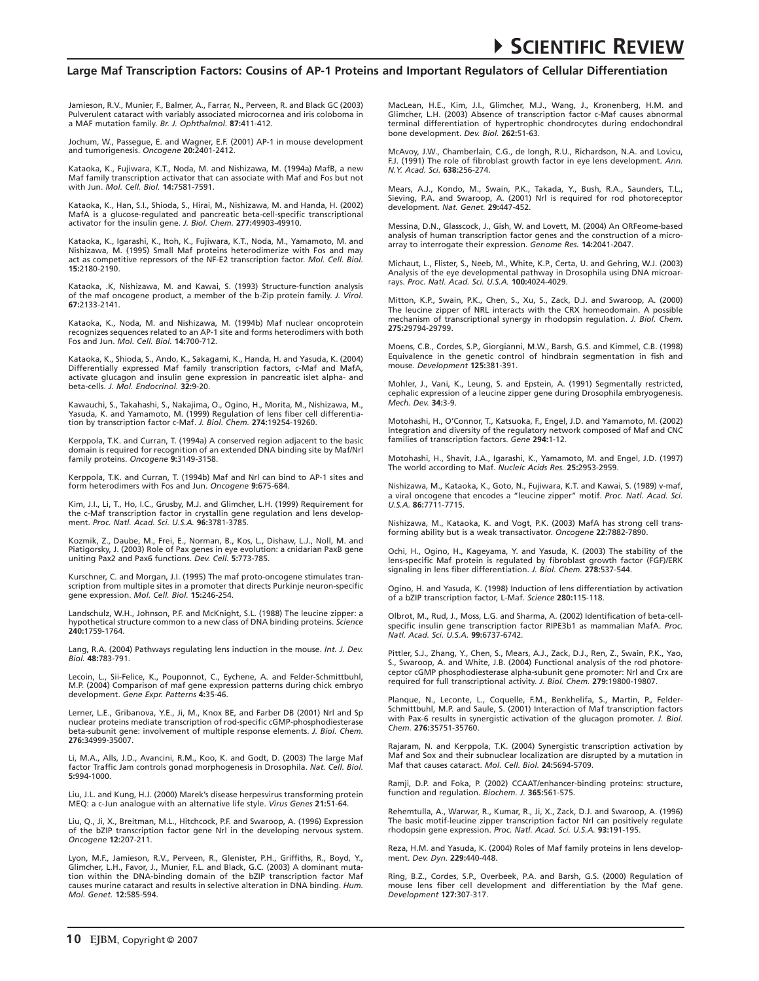Jamieson, R.V., Munier, F., Balmer, A., Farrar, N., Perveen, R. and Black GC (2003) Pulverulent cataract with variably associated microcornea and iris coloboma in a MAF mutation family. *Br. J. Ophthalmol.* **87:**411-412.

Jochum, W., Passegue, E. and Wagner, E.F. (2001) AP-1 in mouse development and tumorigenesis. *Oncogene* **20:**2401-2412.

Kataoka, K., Fujiwara, K.T., Noda, M. and Nishizawa, M. (1994a) MafB, a new Maf family transcription activator that can associate with Maf and Fos but not with Jun. *Mol. Cell. Biol.* **14:**7581-7591.

Kataoka, K., Han, S.I., Shioda, S., Hirai, M., Nishizawa, M. and Handa, H. (2002) MafA is a glucose-regulated and pancreatic beta-cell-specific transcriptional activator for the insulin gene. *J. Biol. Chem.* **277:**49903-49910.

Kataoka, K., Igarashi, K., Itoh, K., Fujiwara, K.T., Noda, M., Yamamoto, M. and Nishizawa, M. (1995) Small Maf proteins heterodimerize with Fos and may act as competitive repressors of the NF-E2 transcription factor. *Mol. Cell. Biol.*  **15:**2180-2190.

Kataoka, .K, Nishizawa, M. and Kawai, S. (1993) Structure-function analysis of the maf oncogene product, a member of the b-Zip protein family. *J. Virol.*  **67:**2133-2141.

Kataoka, K., Noda, M. and Nishizawa, M. (1994b) Maf nuclear oncoprotein recognizes sequences related to an AP-1 site and forms heterodimers with both Fos and Jun. *Mol. Cell. Biol.* **14:**700-712.

Kataoka, K., Shioda, S., Ando, K., Sakagami, K., Handa, H. and Yasuda, K. (2004) Differentially expressed Maf family transcription factors, c-Maf and MafA, activate glucagon and insulin gene expression in pancreatic islet alpha- and beta-cells. *J. Mol. Endocrinol.* **32:**9-20.

Kawauchi, S., Takahashi, S., Nakajima, O., Ogino, H., Morita, M., Nishizawa, M., Yasuda, K. and Yamamoto, M. (1999) Regulation of lens fiber cell differentiation by transcription factor c-Maf. *J. Biol. Chem.* **274:**19254-19260.

Kerppola, T.K. and Curran, T. (1994a) A conserved region adjacent to the basic domain is required for recognition of an extended DNA binding site by Maf/Nrl family proteins. *Oncogene* **9:**3149-3158.

Kerppola, T.K. and Curran, T. (1994b) Maf and Nrl can bind to AP-1 sites and form heterodimers with Fos and Jun. *Oncogene* **9:**675-684.

Kim, J.I., Li, T., Ho, I.C., Grusby, M.J. and Glimcher, L.H. (1999) Requirement for the c-Maf transcription factor in crystallin gene regulation and lens development. *Proc. Natl. Acad. Sci. U.S.A.* **96:**3781-3785.

Kozmik, Z., Daube, M., Frei, E., Norman, B., Kos, L., Dishaw, L.J., Noll, M. and Piatigorsky, J. (2003) Role of Pax genes in eye evolution: a cnidarian PaxB gene uniting Pax2 and Pax6 functions. *Dev. Cell.* **5:**773-785.

Kurschner, C. and Morgan, J.I. (1995) The maf proto-oncogene stimulates transcription from multiple sites in a promoter that directs Purkinje neuron-specific gene expression. *Mol. Cell. Biol.* **15:**246-254.

Landschulz, W.H., Johnson, P.F. and McKnight, S.L. (1988) The leucine zipper: a hypothetical structure common to a new class of DNA binding proteins. *Science*  **240:**1759-1764.

Lang, R.A. (2004) Pathways regulating lens induction in the mouse. *Int. J. Dev. Biol.* **48:**783-791.

Lecoin, L., Sii-Felice, K., Pouponnot, C., Eychene, A. and Felder-Schmittbuhl, M.P. (2004) Comparison of maf gene expression patterns during chick embryo development. *Gene Expr. Patterns* **4:**35-46.

Lerner, L.E., Gribanova, Y.E., Ji, M., Knox BE, and Farber DB (2001) Nrl and Sp nuclear proteins mediate transcription of rod-specific cGMP-phosphodiesterase beta-subunit gene: involvement of multiple response elements. *J. Biol. Chem.*  **276:**34999-35007.

Li, M.A., Alls, J.D., Avancini, R.M., Koo, K. and Godt, D. (2003) The large Maf factor Traffic Jam controls gonad morphogenesis in Drosophila. *Nat. Cell. Biol.*  **5:**994-1000.

Liu, J.L. and Kung, H.J. (2000) Marek's disease herpesvirus transforming protein MEQ: a c-Jun analogue with an alternative life style. *Virus Genes* **21:**51-64.

Liu, Q., Ji, X., Breitman, M.L., Hitchcock, P.F. and Swaroop, A. (1996) Expression of the bZIP transcription factor gene Nrl in the developing nervous system. *Oncogene* **12:**207-211.

Lyon, M.F., Jamieson, R.V., Perveen, R., Glenister, P.H., Griffiths, R., Boyd, Y.,<br>Glimcher, L.H., Favor, J., Munier, F.L. and Black, G.C. (2003) A dominant muta-<br>tion within the DNA-binding domain of the bZIP transcriptio causes murine cataract and results in selective alteration in DNA binding. *Hum. Mol. Genet.* **12:**585-594.

MacLean, H.E., Kim, J.I., Glimcher, M.J., Wang, J., Kronenberg, H.M. and Glimcher, L.H. (2003) Absence of transcription factor c-Maf causes abnormal terminal differentiation of hypertrophic chondrocytes during endochondral bone development. *Dev. Biol.* **262:**51-63.

McAvoy, J.W., Chamberlain, C.G., de Iongh, R.U., Richardson, N.A. and Lovicu, F.J. (1991) The role of fibroblast growth factor in eye lens development. *Ann. N.Y. Acad. Sci.* **638:**256-274.

Mears, A.J., Kondo, M., Swain, P.K., Takada, Y., Bush, R.A., Saunders, T.L., Sieving, P.A. and Swaroop, A. (2001) Nrl is required for rod photoreceptor development. *Nat. Genet.* **29:**447-452.

Messina, D.N., Glasscock, J., Gish, W. and Lovett, M. (2004) An ORFeome-based analysis of human transcription factor genes and the construction of a microarray to interrogate their expression. *Genome Res.* **14:**2041-2047.

Michaut, L., Flister, S., Neeb, M., White, K.P., Certa, U. and Gehring, W.J. (2003) Analysis of the eye developmental pathway in Drosophila using DNA microar-rays. *Proc. Natl. Acad. Sci. U.S.A.* **100:**4024-4029.

Mitton, K.P., Swain, P.K., Chen, S., Xu, S., Zack, D.J. and Swaroop, A. (2000) The leucine zipper of NRL interacts with the CRX homeodomain. A possible mechanism of transcriptional synergy in rhodopsin regulation. *J. Biol. Chem.*  **275:**29794-29799.

Moens, C.B., Cordes, S.P., Giorgianni, M.W., Barsh, G.S. and Kimmel, C.B. (1998) Equivalence in the genetic control of hindbrain segmentation in fish and mouse. *Development* **125:**381-391.

Mohler, J., Vani, K., Leung, S. and Epstein, A. (1991) Segmentally restricted, cephalic expression of a leucine zipper gene during Drosophila embryogenesis. *Mech. Dev.* **34:**3-9.

Motohashi, H., O'Connor, T., Katsuoka, F., Engel, J.D. and Yamamoto, M. (2002) Integration and diversity of the regulatory network composed of Maf and CNC families of transcription factors. *Gene* **294:**1-12.

Motohashi, H., Shavit, J.A., Igarashi, K., Yamamoto, M. and Engel, J.D. (1997) The world according to Maf. *Nucleic Acids Res.* **25:**2953-2959.

Nishizawa, M., Kataoka, K., Goto, N., Fujiwara, K.T. and Kawai, S. (1989) v-maf, a viral oncogene that encodes a "leucine zipper" motif. *Proc. Natl. Acad. Sci. U.S.A.* **86:**7711-7715.

Nishizawa, M., Kataoka, K. and Vogt, P.K. (2003) MafA has strong cell transforming ability but is a weak transactivator. *Oncogene* **22:**7882-7890.

Ochi, H., Ogino, H., Kageyama, Y. and Yasuda, K. (2003) The stability of the lens-specific Maf protein is regulated by fibroblast growth factor (FGF)/ERK signaling in lens fiber differentiation. *J. Biol. Chem.* **278:**537-544.

Ogino, H. and Yasuda, K. (1998) Induction of lens differentiation by activation of a bZIP transcription factor, L-Maf. *Science* **280:**115-118.

Olbrot, M., Rud, J., Moss, L.G. and Sharma, A. (2002) Identification of beta-cellspecific insulin gene transcription factor RIPE3b1 as mammalian MafA. *Proc. Natl. Acad. Sci. U.S.A.* **99:**6737-6742.

Pittler, S.J., Zhang, Y., Chen, S., Mears, A.J., Zack, D.J., Ren, Z., Swain, P.K., Yao, S., Swaroop, A. and White, J.B. (2004) Functional analysis of the rod photoreceptor cGMP phosphodiesterase alpha-subunit gene promoter: Nrl and Crx are required for full transcriptional activity. *J. Biol. Chem.* **279:**19800-19807.

Planque, N., Leconte, L., Coquelle, F.M., Benkhelifa, S., Martin, P., Felder-Schmittbuhl, M.P. and Saule, S. (2001) Interaction of Maf transcription factors with Pax-6 results in synergistic activation of the glucagon promoter. *J. Biol. Chem.* **276:**35751-35760.

Rajaram, N. and Kerppola, T.K. (2004) Synergistic transcription activation by Maf and Sox and their subnuclear localization are disrupted by a mutation in Maf that causes cataract. *Mol. Cell. Biol.* **24:**5694-5709.

Ramji, D.P. and Foka, P. (2002) CCAAT/enhancer-binding proteins: structure, function and regulation. *Biochem. J.* **365:**561-575.

Rehemtulla, A., Warwar, R., Kumar, R., Ji, X., Zack, D.J. and Swaroop, A. (1996) The basic motif-leucine zipper transcription factor Nrl can positively regulate rhodopsin gene expression. *Proc. Natl. Acad. Sci. U.S.A.* **93:**191-195.

Reza, H.M. and Yasuda, K. (2004) Roles of Maf family proteins in lens development. *Dev. Dyn.* **229:**440-448.

Ring, B.Z., Cordes, S.P., Overbeek, P.A. and Barsh, G.S. (2000) Regulation of mouse lens fiber cell development and differentiation by the Maf gene. *Development* **127:**307-317.